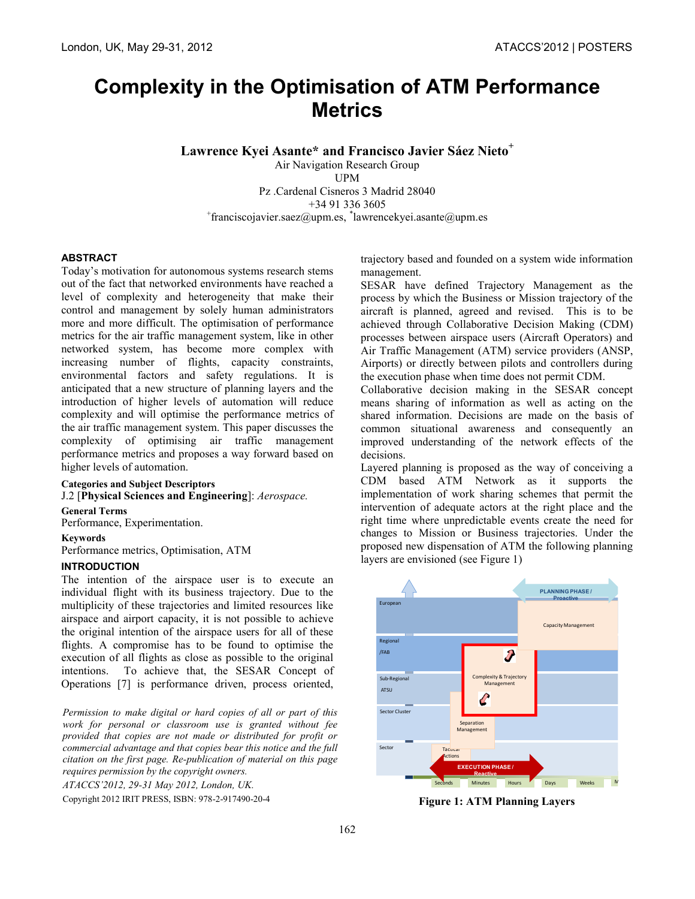# **Complexity in the Optimisation of ATM Performance Metrics**

**Lawrence Kyei Asante\* and Francisco Javier Sáez Nieto<sup>+</sup>**

Air Navigation Research Group UPM Pz .Cardenal Cisneros 3 Madrid 28040 +34 91 336 3605 + franciscojavier.saez@upm.es, \* lawrencekyei.asante@upm.es

# **ABSTRACT**

Today's motivation for autonomous systems research stems out of the fact that networked environments have reached a level of complexity and heterogeneity that make their control and management by solely human administrators more and more difficult. The optimisation of performance metrics for the air traffic management system, like in other networked system, has become more complex with increasing number of flights, capacity constraints, environmental factors and safety regulations. It is anticipated that a new structure of planning layers and the introduction of higher levels of automation will reduce complexity and will optimise the performance metrics of the air traffic management system. This paper discusses the complexity of optimising air traffic management performance metrics and proposes a way forward based on higher levels of automation.

# **Categories and Subject Descriptors**

J.2 [**Physical Sciences and Engineering**]: *Aerospace.* 

# **General Terms**

Performance, Experimentation.

# **Keywords**

Performance metrics, Optimisation, ATM

# **INTRODUCTION**

The intention of the airspace user is to execute an individual flight with its business trajectory. Due to the multiplicity of these trajectories and limited resources like airspace and airport capacity, it is not possible to achieve the original intention of the airspace users for all of these flights. A compromise has to be found to optimise the execution of all flights as close as possible to the original intentions. To achieve that, the SESAR Concept of Operations [7] is performance driven, process oriented,

*Permission to make digital or hard copies of all or part of this work for personal or classroom use is granted without fee provided that copies are not made or distributed for profit or commercial advantage and that copies bear this notice and the full citation on the first page. Re-publication of material on this page requires permission by the copyright owners.*

*ATACCS'2012, 29-31 May 2012, London, UK.*

Copyright 2012 IRIT PRESS, ISBN: 978-2-917490-20-4

trajectory based and founded on a system wide information management.

SESAR have defined Trajectory Management as the process by which the Business or Mission trajectory of the aircraft is planned, agreed and revised. This is to be achieved through Collaborative Decision Making (CDM) processes between airspace users (Aircraft Operators) and Air Traffic Management (ATM) service providers (ANSP, Airports) or directly between pilots and controllers during the execution phase when time does not permit CDM.

Collaborative decision making in the SESAR concept means sharing of information as well as acting on the shared information. Decisions are made on the basis of common situational awareness and consequently an improved understanding of the network effects of the decisions.

Layered planning is proposed as the way of conceiving a CDM based ATM Network as it supports the implementation of work sharing schemes that permit the intervention of adequate actors at the right place and the right time where unpredictable events create the need for changes to Mission or Business trajectories. Under the proposed new dispensation of ATM the following planning layers are envisioned (see Figure 1)



**Figure 1: ATM Planning Layers**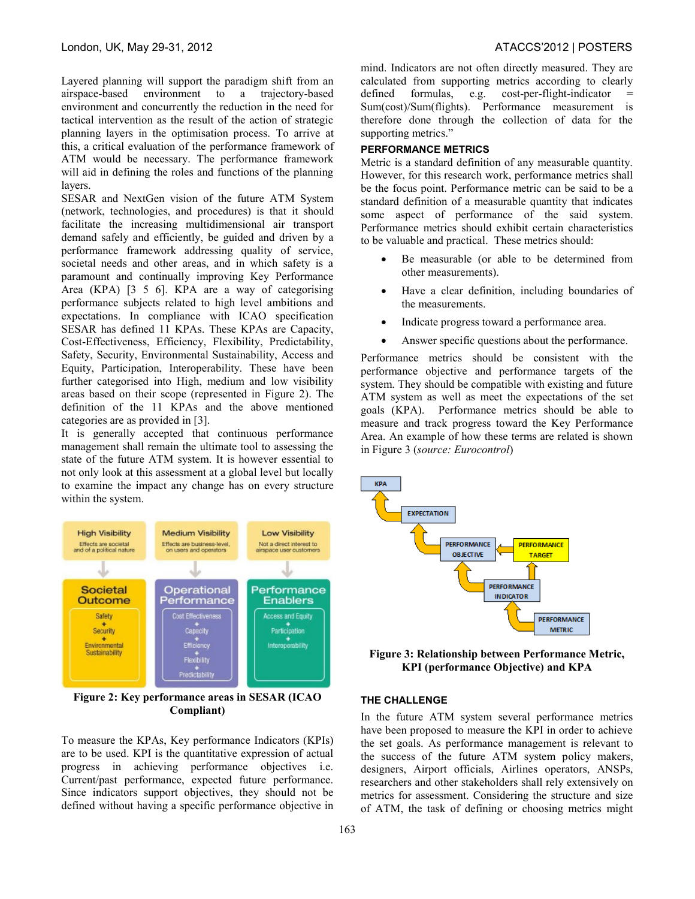Layered planning will support the paradigm shift from an airspace-based environment to a trajectory-based environment and concurrently the reduction in the need for tactical intervention as the result of the action of strategic planning layers in the optimisation process. To arrive at this, a critical evaluation of the performance framework of ATM would be necessary. The performance framework will aid in defining the roles and functions of the planning layers.

SESAR and NextGen vision of the future ATM System (network, technologies, and procedures) is that it should facilitate the increasing multidimensional air transport demand safely and efficiently, be guided and driven by a performance framework addressing quality of service, societal needs and other areas, and in which safety is a paramount and continually improving Key Performance Area (KPA) [3 5 6]. KPA are a way of categorising performance subjects related to high level ambitions and expectations. In compliance with ICAO specification SESAR has defined 11 KPAs. These KPAs are Capacity, Cost-Effectiveness, Efficiency, Flexibility, Predictability, Safety, Security, Environmental Sustainability, Access and Equity, Participation, Interoperability. These have been further categorised into High, medium and low visibility areas based on their scope (represented in Figure 2). The definition of the 11 KPAs and the above mentioned categories are as provided in [3].

It is generally accepted that continuous performance management shall remain the ultimate tool to assessing the state of the future ATM system. It is however essential to not only look at this assessment at a global level but locally to examine the impact any change has on every structure within the system.



**Figure 2: Key performance areas in SESAR (ICAO Compliant)**

To measure the KPAs, Key performance Indicators (KPIs) are to be used. KPI is the quantitative expression of actual progress in achieving performance objectives i.e. Current/past performance, expected future performance. Since indicators support objectives, they should not be defined without having a specific performance objective in

mind. Indicators are not often directly measured. They are calculated from supporting metrics according to clearly defined formulas, e.g. cost-per-flight-indicator Sum(cost)/Sum(flights). Performance measurement is therefore done through the collection of data for the supporting metrics."

## **PERFORMANCE METRICS**

Metric is a standard definition of any measurable quantity. However, for this research work, performance metrics shall be the focus point. Performance metric can be said to be a standard definition of a measurable quantity that indicates some aspect of performance of the said system. Performance metrics should exhibit certain characteristics to be valuable and practical. These metrics should:

- Be measurable (or able to be determined from other measurements).
- Have a clear definition, including boundaries of the measurements.
- Indicate progress toward a performance area.
- Answer specific questions about the performance.

Performance metrics should be consistent with the performance objective and performance targets of the system. They should be compatible with existing and future ATM system as well as meet the expectations of the set goals (KPA). Performance metrics should be able to measure and track progress toward the Key Performance Area. An example of how these terms are related is shown in Figure 3 (*source: Eurocontrol*)



**Figure 3: Relationship between Performance Metric, KPI (performance Objective) and KPA**

#### **THE CHALLENGE**

In the future ATM system several performance metrics have been proposed to measure the KPI in order to achieve the set goals. As performance management is relevant to the success of the future ATM system policy makers, designers, Airport officials, Airlines operators, ANSPs, researchers and other stakeholders shall rely extensively on metrics for assessment. Considering the structure and size of ATM, the task of defining or choosing metrics might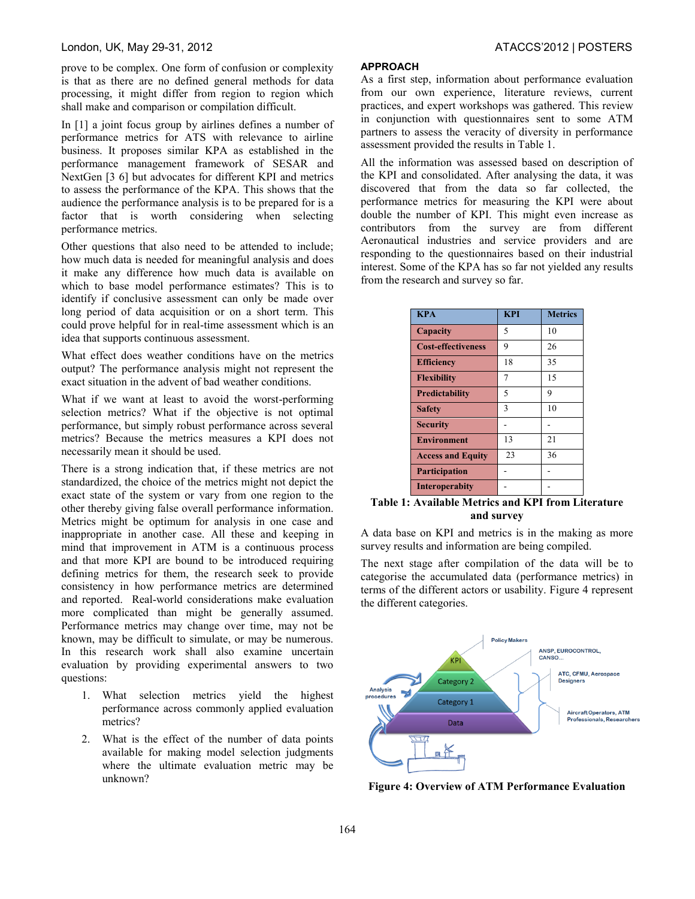#### London, UK, May 29-31, 2012 ATACCS'2012 | POSTERS

prove to be complex. One form of confusion or complexity is that as there are no defined general methods for data processing, it might differ from region to region which shall make and comparison or compilation difficult.

In [1] a joint focus group by airlines defines a number of performance metrics for ATS with relevance to airline business. It proposes similar KPA as established in the performance management framework of SESAR and NextGen [3 6] but advocates for different KPI and metrics to assess the performance of the KPA. This shows that the audience the performance analysis is to be prepared for is a factor that is worth considering when selecting performance metrics.

Other questions that also need to be attended to include; how much data is needed for meaningful analysis and does it make any difference how much data is available on which to base model performance estimates? This is to identify if conclusive assessment can only be made over long period of data acquisition or on a short term. This could prove helpful for in real-time assessment which is an idea that supports continuous assessment.

What effect does weather conditions have on the metrics output? The performance analysis might not represent the exact situation in the advent of bad weather conditions.

What if we want at least to avoid the worst-performing selection metrics? What if the objective is not optimal performance, but simply robust performance across several metrics? Because the metrics measures a KPI does not necessarily mean it should be used.

There is a strong indication that, if these metrics are not standardized, the choice of the metrics might not depict the exact state of the system or vary from one region to the other thereby giving false overall performance information. Metrics might be optimum for analysis in one case and inappropriate in another case. All these and keeping in mind that improvement in ATM is a continuous process and that more KPI are bound to be introduced requiring defining metrics for them, the research seek to provide consistency in how performance metrics are determined and reported. Real-world considerations make evaluation more complicated than might be generally assumed. Performance metrics may change over time, may not be known, may be difficult to simulate, or may be numerous. In this research work shall also examine uncertain evaluation by providing experimental answers to two questions:

- 1. What selection metrics yield the highest performance across commonly applied evaluation metrics?
- 2. What is the effect of the number of data points available for making model selection judgments where the ultimate evaluation metric may be unknown?

#### **APPROACH**

As a first step, information about performance evaluation from our own experience, literature reviews, current practices, and expert workshops was gathered. This review in conjunction with questionnaires sent to some ATM partners to assess the veracity of diversity in performance assessment provided the results in Table 1.

All the information was assessed based on description of the KPI and consolidated. After analysing the data, it was discovered that from the data so far collected, the performance metrics for measuring the KPI were about double the number of KPI. This might even increase as contributors from the survey are from different Aeronautical industries and service providers and are responding to the questionnaires based on their industrial interest. Some of the KPA has so far not yielded any results from the research and survey so far.

| <b>KPA</b>                | <b>KPI</b> | <b>Metrics</b> |
|---------------------------|------------|----------------|
| Capacity                  | 5          | 10             |
| <b>Cost-effectiveness</b> | 9          | 26             |
| <b>Efficiency</b>         | 18         | 35             |
| <b>Flexibility</b>        | 7          | 15             |
| <b>Predictability</b>     | 5          | 9              |
| <b>Safety</b>             | 3          | 10             |
| <b>Security</b>           |            |                |
| <b>Environment</b>        | 13         | 21             |
| <b>Access and Equity</b>  | 23         | 36             |
| <b>Participation</b>      |            |                |
| <b>Interoperabity</b>     |            |                |

**Table 1: Available Metrics and KPI from Literature and survey**

A data base on KPI and metrics is in the making as more survey results and information are being compiled.

The next stage after compilation of the data will be to categorise the accumulated data (performance metrics) in terms of the different actors or usability. Figure 4 represent the different categories.



**Figure 4: Overview of ATM Performance Evaluation**